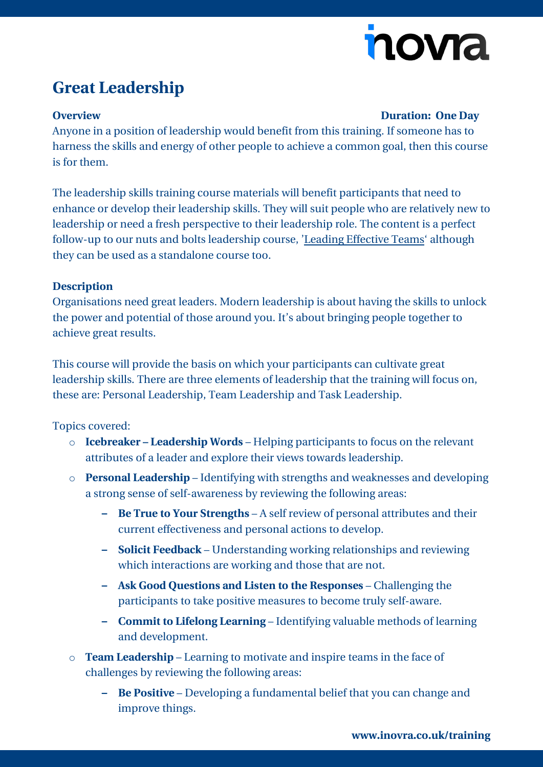# nova

## **Great Leadership**

#### **Overview Duration: One Day**

Anyone in a position of leadership would benefit from this training. If someone has to harness the skills and energy of other people to achieve a common goal, then this course is for them.

The leadership skills training course materials will benefit participants that need to enhance or develop their leadership skills. They will suit people who are relatively new to leadership or need a fresh perspective to their leadership role. The content is a perfect follow-up to our nuts and bolts leadership course, 'Leading Effective Teams' although they can be used as a standalone course too.

### **Description**

Organisations need great leaders. Modern leadership is about having the skills to unlock the power and potential of those around you. It's about bringing people together to achieve great results.

This course will provide the basis on which your participants can cultivate great leadership skills. There are three elements of leadership that the training will focus on, these are: Personal Leadership, Team Leadership and Task Leadership.

Topics covered:

- o **Icebreaker – Leadership Words** Helping participants to focus on the relevant attributes of a leader and explore their views towards leadership.
- o **Personal Leadership** Identifying with strengths and weaknesses and developing a strong sense of self-awareness by reviewing the following areas:
	- **– Be True to Your Strengths** A self review of personal attributes and their current effectiveness and personal actions to develop.
	- **– Solicit Feedback** Understanding working relationships and reviewing which interactions are working and those that are not.
	- **– Ask Good Questions and Listen to the Responses** Challenging the participants to take positive measures to become truly self-aware.
	- **– Commit to Lifelong Learning** Identifying valuable methods of learning and development.
- o **Team Leadership** Learning to motivate and inspire teams in the face of challenges by reviewing the following areas:
	- **– Be Positive** Developing a fundamental belief that you can change and improve things.